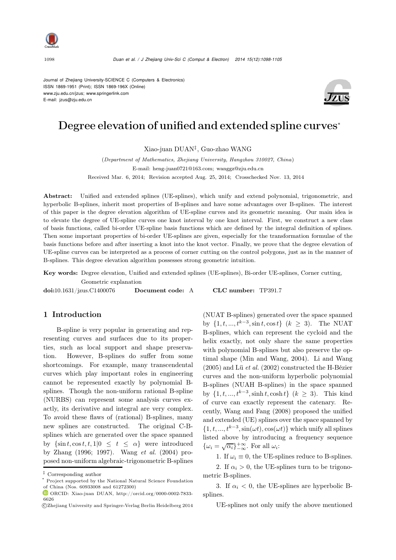

Journal of Zhejiang University-SCIENCE C (Computers & Electronics) ISSN 1869-1951 (Print); ISSN 1869-196X (Online) www.zju.edu.cn/jzus; www.springerlink.com E-mail: jzus@zju.edu.cn



# Degree elevation of unified and extended spline curves<sup>∗</sup>

Xiao-juan DUAN‡, Guo-zhao WANG

(*Department of Mathematics, Zhejiang University, Hangzhou 310027, China*) E-mail: heng-juan0721@163.com; wanggz@zju.edu.cn Received Mar. 6, 2014; Revision accepted Aug. 25, 2014; Crosschecked Nov. 13, 2014

Abstract: Unified and extended splines (UE-splines), which unify and extend polynomial, trigonometric, and hyperbolic B-splines, inherit most properties of B-splines and have some advantages over B-splines. The interest of this paper is the degree elevation algorithm of UE-spline curves and its geometric meaning. Our main idea is to elevate the degree of UE-spline curves one knot interval by one knot interval. First, we construct a new class of basis functions, called bi-order UE-spline basis functions which are defined by the integral definition of splines. Then some important properties of bi-order UE-splines are given, especially for the transformation formulae of the basis functions before and after inserting a knot into the knot vector. Finally, we prove that the degree elevation of UE-spline curves can be interpreted as a process of corner cutting on the control polygons, just as in the manner of B-splines. This degree elevation algorithm possesses strong geometric intuition.

Key words: Degree elevation, Unified and extended splines (UE-splines), Bi-order UE-splines, Corner cutting, Geometric explanation

doi:10.1631/jzus.C1400076 Document code: A CLC number: TP391.7

## 1 Introduction

B-spline is very popular in generating and representing curves and surfaces due to its properties, such as local support and shape preservation. However, B-splines do suffer from some shortcomings. For example, many transcendental curves which play important roles in engineering cannot be represented exactly by polynomial Bsplines. Though the non-uniform rational B-spline (NURBS) can represent some analysis curves exactly, its derivative and integral are very complex. To avoid these flaws of (rational) B-splines, many new splines are constructed. The original C-Bsplines which are generated over the space spanned by  $\{\sin t, \cos t, t, 1|0 \leq t \leq \alpha\}$  were introduced by Zhang (1996; 1997). [Wang](#page-7-0) *et al.* [\(2004\)](#page-7-0) proposed non-uniform algebraic-trigonometric B-splines

(NUAT B-splines) generated over the space spanned by  ${1, t, ..., t^{k-3}, \sin t, \cos t}$  (*k* ≥ 3). The NUAT B-splines, which can represent the cycloid and the helix exactly, not only share the same properties with polynomial B-splines but also preserve the optimal shape [\(Min and Wang](#page-7-1), [2004](#page-7-1)). [Li and Wang](#page-7-2) [\(2005](#page-7-2)) and Lü *[et al.](#page-7-3)* [\(2002](#page-7-3)) constructed the H-Bézier curves and the non-uniform hyperbolic polynomial B-splines (NUAH B-splines) in the space spanned by  $\{1, t, ..., t^{k-3}, \sinh t, \cosh t\}$  ( $k > 3$ ). This kind of curve can exactly represent the catenary. Recently, [Wang and Fang](#page-7-4) [\(2008\)](#page-7-4) proposed the unified and extended (UE) splines over the space spanned by  $\{1, t, ..., t^{k-3}, \sin(\omega t), \cos(\omega t)\}\$  which unify all splines listed above by introducing a frequency sequence  $\{\omega_i = \sqrt{\alpha_i}\}_{-\infty}^{+\infty}$ . For all  $\omega_i$ :

1. If  $\omega_i \equiv 0$ , the UE-splines reduce to B-splines.

2. If  $\alpha_i > 0$ , the UE-splines turn to be trigonometric B-splines.

3. If  $\alpha_i < 0$ , the UE-splines are hyperbolic Bsplines.

UE-splines not only unify the above mentioned

*<sup>‡</sup>* Corresponding author

Project supported by the National Natural Science Foundation of China (Nos. 60933008 and 61272300)

 $\bullet$  ORCID: Xiao-juan DUAN, http://orcid.org/0000-0002-7833-6626

c Zhejiang University and Springer-Verlag Berlin Heidelberg 2014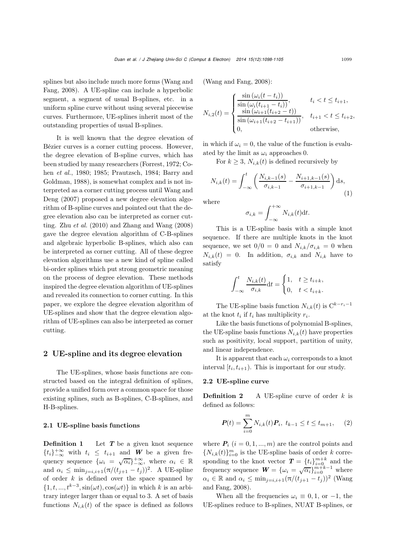splin[es](#page-7-4) [but](#page-7-4) [also](#page-7-4) [include](#page-7-4) [much](#page-7-4) [more](#page-7-4) [forms](#page-7-4) [\(](#page-7-4)Wang and Fang, [2008\)](#page-7-4). A UE-spline can include a hyperbolic segment, a segment of usual B-splines, etc. in a uniform spline curve without using several piecewise curves. Furthermore, UE-splines inherit most of the outstanding properties of usual B-splines.

It is well known that the degree elevation of Bézier curves is a corner cutting process. However, the degree elevation of B-spline curves, which has been studied by many researchers (Forrest, 1972; Cohen *et al.*, 1980; 1985; Prautzsch, 1984; Barry and Goldman, 1988), is somewhat complex and is not interpreted as a corner cutting process until Wang and Deng [\(2007\)](#page-7-5) proposed a new degree elevation algorithm of B-spline curves and pointed out that the degree elevation also can be interpreted as corner cutting. Zhu  $et \ al.$  [\(2010\)](#page-7-6) and [Zhang and Wang](#page-7-7) [\(2008](#page-7-7)) gave the degree elevation algorithm of C-B-splines and algebraic hyperbolic B-splines, which also can be interpreted as corner cutting. All of these degree elevation algorithms use a new kind of spline called bi-order splines which put strong geometric meaning on the process of degree elevation. These methods inspired the degree elevation algorithm of UE-splines and revealed its connection to corner cutting. In this paper, we explore the degree elevation algorithm of UE-splines and show that the degree elevation algorithm of UE-splines can also be interpreted as corner cutting.

## 2 UE-spline and its degree elevation

The UE-splines, whose basis functions are constructed based on the integral definition of splines, provide a unified form over a common space for those existing splines, such as B-splines, C-B-splines, and H-B-splines.

## 2.1 UE-spline basis functions

**Definition 1** Let **T** be a given knot sequence  ${t_i}_{-\infty}^{+\infty}$  with  $t_i \leq t_{i+1}$  and **W** be a given frequency sequence  $\{\omega_i = \sqrt{\alpha_i}\}_{-\infty}^{+\infty}$ , where  $\alpha_i \in \mathbb{R}$ and  $\alpha_i \leq \min_{j=i, i+1} (\pi/(t_{j+1} - t_j))^2$ . A UE-spline of order  $k$  is defined over the space spanned by  $\{1, t, ..., t^{k-3}, \sin(\omega t), \cos(\omega t)\}\$ in which k is an arbitrary integer larger than or equal to 3. A set of basis functions  $N_{i,k}(t)$  of the space is defined as follows [\(Wang and Fang](#page-7-4), [2008\)](#page-7-4):

$$
N_{i,2}(t) = \begin{cases} \frac{\sin(\omega_i(t - t_i))}{\sin(\omega_i(t_{i+1} - t_i))}, & t_i < t \le t_{i+1}, \\ \frac{\sin(\omega_{i+1}(t_{i+2} - t))}{\sin(\omega_{i+1}(t_{i+2} - t_{i+1}))}, & t_{i+1} < t \le t_{i+2}, \\ 0, & \text{otherwise}, \end{cases}
$$

in which if  $\omega_i = 0$ , the value of the function is evaluated by the limit as  $\omega_i$  approaches 0.

For  $k \geq 3$ ,  $N_{i,k}(t)$  is defined recursively by

$$
N_{i,k}(t) = \int_{-\infty}^{t} \left( \frac{N_{i,k-1}(s)}{\sigma_{i,k-1}} - \frac{N_{i+1,k-1}(s)}{\sigma_{i+1,k-1}} \right) ds,
$$
\n(1)

where

$$
\sigma_{i,k} = \int_{-\infty}^{+\infty} N_{i,k}(t) \mathrm{d}t.
$$

This is a UE-spline basis with a simple knot sequence. If there are multiple knots in the knot sequence, we set  $0/0=0$  and  $N_{i,k}/\sigma_{i,k}=0$  when  $N_{i,k}(t) = 0$ . In addition,  $\sigma_{i,k}$  and  $N_{i,k}$  have to satisfy

$$
\int_{-\infty}^{t} \frac{N_{i,k}(t)}{\sigma_{i,k}} dt = \begin{cases} 1, & t \ge t_{i+k}, \\ 0, & t < t_{i+k}. \end{cases}
$$

The UE-spline basis function  $N_{i,k}(t)$  is  $C^{k-r_i-1}$ at the knot  $t_i$  if  $t_i$  has multiplicity  $r_i$ .

Like the basis functions of polynomial B-splines, the UE-spline basis functions  $N_{i,k}(t)$  have properties such as positivity, local support, partition of unity, and linear independence.

It is apparent that each  $\omega_i$  corresponds to a knot interval  $[t_i, t_{i+1})$ . This is important for our study.

#### 2.2 UE-spline curve

**Definition 2** A UE-spline curve of order  $k$  is defined as follows:

$$
\boldsymbol{P}(t) = \sum_{i=0}^{m} N_{i,k}(t) \boldsymbol{P}_i, \ t_{k-1} \le t \le t_{m+1}, \tag{2}
$$

where  $P_i$   $(i = 0, 1, ..., m)$  are the control points and  ${N_{i,k}(t)}_{i=0}^m$  is the UE-spline basis of order k corresponding to the knot vector  $\mathbf{T} = \{t_i\}_{i=0}^{m+k}$  and the frequency sequence  $\mathbf{W} = \{\omega_i = \sqrt{\alpha_i}\}_{i=0}^{m+k-1}$  where  $\alpha_i \in \mathbb{R}$  a[nd](#page-7-4)  $\alpha_i \leq \min_{j=i, i+1} (\pi/(t_{j+1} - t_j))^2$  (Wang and Fang, [2008](#page-7-4)).

When all the frequencies  $\omega_i \equiv 0, 1$ , or  $-1$ , the UE-splines reduce to B-splines, NUAT B-splines, or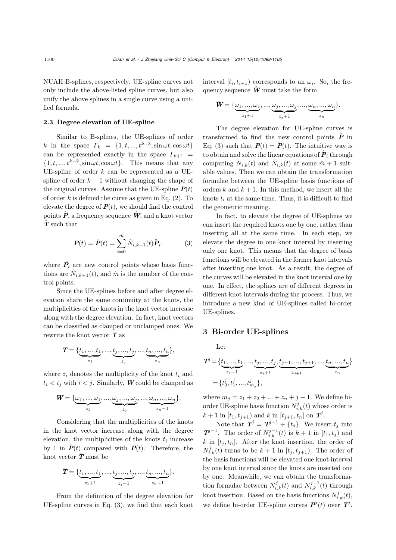NUAH B-splines, respectively. UE-spline curves not only include the above-listed spline curves, but also unify the above splines in a single curve using a unified formula.

#### 2.3 Degree elevation of UE-spline

Similar to B-splines, the UE-splines of order k in the space  $\Gamma_k = \{1, t, ..., t^{k-3}, \sin \omega t, \cos \omega t\}$ can be represented exactly in the space  $\Gamma_{k+1}$  =  $\{1, t, ..., t^{k-2}, \sin \omega t, \cos \omega t\}.$  This means that any UE-spline of order  $k$  can be represented as a UEspline of order  $k + 1$  without changing the shape of the original curves. Assume that the UE-spline  $P(t)$ of order k is defined the curve as given in Eq.  $(2)$ . To elevate the degree of  $P(t)$ , we should find the control points  $\hat{P}$ , a frequency sequence  $\hat{W}$ , and a knot vector *<sup>T</sup>*<sup>ˆ</sup> such that

$$
\boldsymbol{P}(t) = \hat{\boldsymbol{P}}(t) = \sum_{i=0}^{\hat{m}} \hat{N}_{i,k+1}(t) \hat{\boldsymbol{P}}_i, \tag{3}
$$

where  $\hat{P}_i$  are new control points whose basis functions are  $\hat{N}_{i,k+1}(t)$ , and  $\hat{m}$  is the number of the control points.

Since the UE-splines before and after degree elevation share the same continuity at the knots, the multiplicities of the knots in the knot vector increase along with the degree elevation. In fact, knot vectors can be classified as clamped or unclamped ones. We rewrite the knot vector *T* as

$$
\boldsymbol{T} = \{\underbrace{t_1,...,t_1}_{z_1},...,\underbrace{t_j,...,t_j}_{z_j},...,\underbrace{t_n,...,t_n}_{z_n}\},
$$

where  $z_i$  denotes the multiplicity of the knot  $t_i$  and  $t_i < t_j$  with  $i < j$ . Similarly, *W* could be clamped as

$$
\mathbf{W} = {\omega_1, ..., \omega_1, ..., \omega_j, ..., \omega_j, ..., \omega_n, ..., \omega_n \over z_i}.
$$

Considering that the multiplicities of the knots in the knot vector increase along with the degree elevation, the multiplicities of the knots  $t_i$  increase by 1 in  $\hat{P}(t)$  compared with  $P(t)$ . Therefore, the knot vector *<sup>T</sup>*<sup>ˆ</sup> must be

$$
\hat{\pmb{T}} = \{ \underbrace{t_1,...,t_1}_{z_1+1},...,\underbrace{t_j,...,t_j}_{z_j+1},...,\underbrace{t_n,...,t_n}_{z_n+1} \}.
$$

From the definition of the degree elevation for UE-spline curves in Eq. (3), we find that each knot

interval  $[t_i, t_{i+1})$  corresponds to an  $\omega_i$ . So, the frequency sequence  $\hat{W}$  must take the form

$$
\hat{\mathbf{W}} = \{\underbrace{\omega_1, ..., \omega_1}_{z_1+1}, ..., \underbrace{\omega_j, ..., \omega_j}_{z_j+1}, ..., \underbrace{\omega_n, ..., \omega_n}_{z_n}\}.
$$

The degree elevation for UE-spline curves is transformed to find the new control points  $\hat{P}$  in Eq. (3) such that  $P(t) = \hat{P}(t)$ . The intuitive way is to obtain and solve the linear equations of  $\boldsymbol{P}_i$  through computing  $N_{i,k}(t)$  and  $\hat{N}_{i,k}(t)$  at some  $\hat{m}+1$  suitable values. Then we can obtain the transformation formulae between the UE-spline basis functions of orders k and  $k + 1$ . In this method, we insert all the knots  $t_i$  at the same time. Thus, it is difficult to find the geometric meaning.

In fact, to elevate the degree of UE-splines we can insert the required knots one by one, rather than inserting all at the same time. In each step, we elevate the degree in one knot interval by inserting only one knot. This means that the degree of basis functions will be elevated in the former knot intervals after inserting one knot. As a result, the degree of the curves will be elevated in the knot interval one by one. In effect, the splines are of different degrees in different knot intervals during the process. Thus, we introduce a new kind of UE-splines called bi-order UE-splines.

### 3 Bi-order UE-splines

Let

$$
T^j = \{ \underbrace{t_1, ..., t_1}_{z_1+1}, ..., \underbrace{t_j, ..., t_j}_{z_j+1}, \underbrace{t_{j+1}, ..., t_{j+1}}_{z_{j+1}}, ..., \underbrace{t_n, ..., t_n}_{z_n} \}
$$
  
= 
$$
\{ t^j_0, t^j_1, ..., t^j_{m_j} \},
$$

where  $m_j = z_1 + z_2 + ... + z_n + j - 1$ . We define biorder UE-spline basis function  $N_{i,k}^j(t)$  whose order is  $k + 1$  in  $[t_1, t_{j+1})$  and k in  $[t_{j+1}, t_n]$  on  $T^j$ .

Note that  $T^j = T^{j-1} + \{t_j\}$ . We insert  $t_j$  into *<i>T***<sup>j−1</sup>.** The order of  $N_{i,k}^{j-1}(t)$  is  $k+1$  in [t<sub>1</sub>, t<sub>j</sub>) and  $k$  in  $[t_j, t_n]$ . After the knot insertion, the order of  $N_{i,k}^j(t)$  turns to be  $k+1$  in  $[t_j, t_{j+1})$ . The order of the basis functions will be elevated one knot interval by one knot interval since the knots are inserted one by one. Meanwhile, we can obtain the transformation formulae between  $N_{i,k}^j(t)$  and  $N_{i,k}^{j-1}(t)$  through knot insertion. Based on the basis functions  $N_{i,k}^j(t)$ , we define bi-order UE-spline curves  $P^j(t)$  over  $T^j$ .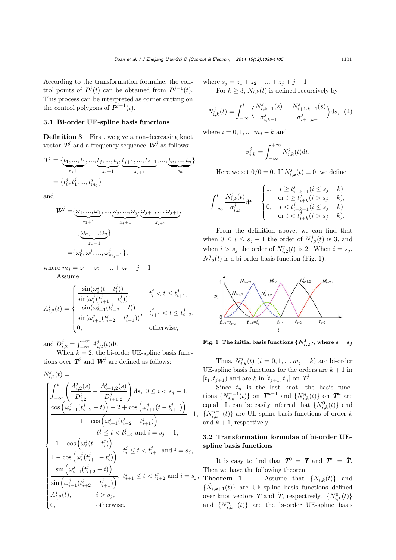According to the transformation formulae, the control points of  $P^j(t)$  can be obtained from  $P^{j-1}(t)$ . This process can be interpreted as corner cutting on the control polygons of  $P^{j-1}(t)$ .

## 3.1 Bi-order UE-spline basis functions

Definition 3 First, we give a non-decreasing knot vector  $T^j$  and a frequency sequence  $W^j$  as follows:

$$
T^j = \{ \underbrace{t_1, ..., t_1}_{z_1+1}, ..., \underbrace{t_j, ..., t_j}_{z_j+1}, \underbrace{t_{j+1}, ..., t_{j+1}}_{z_{j+1}}, ..., \underbrace{t_n, ..., t_n}_{z_n} \}
$$
  
= 
$$
\{ t^j_0, t^j_1, ..., t^j_{m_j} \}
$$

and

$$
\begin{aligned} \mathbf{W}^{j} &= \{ \underbrace{\omega_{1}, \dots, \omega_{1}}_{z_{1}+1}, \dots, \underbrace{\omega_{j}, \dots, \omega_{j}}_{z_{j}+1}, \underbrace{\omega_{j+1}, \dots, \omega_{j+1}}_{z_{j+1}}, \\ &\dots, \underbrace{\omega_{n}, \dots, \omega_{n}}_{z_{n}-1} \} \\ &= \{ \omega^{j}_{0}, \omega^{j}_{1}, \dots, \omega^{j}_{m_{j}-1} \}, \end{aligned}
$$

where  $m_j = z_1 + z_2 + ... + z_n + j - 1$ .

Assume

$$
A_{i,2}^{j}(t) = \begin{cases} \frac{\sin(\omega_{i}^{j}(t - t_{i}^{j}))}{\sin(\omega_{i}^{j}(t_{i+1}^{j} - t_{i}^{j}))}, & t_{i}^{j} < t \leq t_{i+1}^{j},\\ \frac{\sin(\omega_{i+1}^{j}(t_{i+2}^{j} - t))}{\sin(\omega_{i+1}^{j}(t_{i+2}^{j} - t_{i+1}^{j}))}, & t_{i+1}^{j} < t \leq t_{i+2}^{j},\\ 0, & \text{otherwise}, \end{cases}
$$

and  $D_{i,2}^j = \int_{-\infty}^{+\infty} A_{i,2}^j(t) dt$ .

When  $k = 2$ , the bi-order UE-spline basis functions over  $T^j$  and  $W^j$  are defined as follows:

$$
\begin{split} N_{i,2}^j(t) &= \\ \begin{cases} \int_{-\infty}^t \left( \frac{A_{i,2}^j(s)}{D_{i,2}^j} - \frac{A_{i+1,2}^j(s)}{D_{i+1,2}^j} \right) \mathrm{d}s, \ 0 \le i < s_j - 1, \\ \frac{\cos\left(\omega_{i+1}^j(t_{i+2}^j-t)\right) - 2 + \cos\left(\omega_{i+1}^j(t-t_{i+1}^j)\right)}{1 - \cos\left(\omega_{i+1}^j(t_{i+2}^j-t_{i+1}^j)\right)} + 1, \\ t_i^j ≤ t < t_{i+2}^j \ \mathrm{and} \ i = s_j - 1, \\ \frac{1 - \cos\left(\omega_i^j(t-t_i^j)\right)}{1 - \cos\left(\omega_i^j(t_{i+1}^j-t_i^j)\right)}, \ t_i^j ≤ t < t_{i+1}^j \ \mathrm{and} \ i = s_j, \\ \frac{\sin\left(\omega_{i+1}^j(t_{i+2}^j-t)\right)}{\sin\left(\omega_{i+1}^j(t_{i+2}^j-t_{i+1}^j)\right)}, \ t_{i+1}^j ≤ t < t_{i+2}^j \ \mathrm{and} \ i = s_j, \\ A_{i,2}^j(t), \qquad i > s_j, \\ 0, \qquad \mathrm{otherwise}, \end{cases} \end{split}
$$

where  $s_j = z_1 + z_2 + ... + z_j + j - 1$ . For  $k \geq 3$ ,  $N_{i,k}(t)$  is defined recursively by

$$
N_{i,k}^{j}(t) = \int_{-\infty}^{t} \Big( \frac{N_{i,k-1}^{j}(s)}{\sigma_{i,k-1}^{j}} - \frac{N_{i+1,k-1}^{j}(s)}{\sigma_{i+1,k-1}^{j}} \Big) ds, \tag{4}
$$

where  $i = 0, 1, ..., m_j - k$  and

$$
\sigma_{i,k}^j = \int_{-\infty}^{+\infty} N_{i,k}^j(t) \mathrm{d}t.
$$

Here we set  $0/0 = 0$ . If  $N_{i,k}^j(t) \equiv 0$ , we define

$$
\int_{-\infty}^{t} \frac{N_{i,k}^{j}(t)}{\sigma_{i,k}^{j}} dt = \begin{cases} 1, & t \ge t_{i+k+1}^{j}(i \le s_j - k) \\ & \text{or } t \ge t_{i+k}^{j}(i > s_j - k), \\ 0, & t < t_{i+k+1}^{j}(i \le s_j - k) \\ & \text{or } t < t_{i+k}^{j}(i > s_j - k). \end{cases}
$$

From the definition above, we can find that when  $0 \leq i \leq s_j - 1$  the order of  $N_{i,2}^j(t)$  is 3, and when  $i>s_j$  the order of  $N_{i,2}^j(t)$  is 2. When  $i=s_j$ ,  $N_{i,2}^j(t)$  is a bi-order basis function (Fig. 1).



Fig. 1 The initial basis functions  $\{N_{i,2}^j\}$ , where  $s=s_j$ 

Thus,  $N_{i,k}^{j}(t)$  ( $i = 0, 1, ..., m_j - k$ ) are bi-order UE-spline basis functions for the orders are  $k + 1$  in  $[t_1, t_{j+1})$  and are k in  $[t_{j+1}, t_n]$  on  $T^j$ .

Since  $t_n$  is the last knot, the basis functions  $\{N_{i,k}^{n-1}(t)\}\)$  on  $T^{n-1}$  and  $\{N_{i,k}^n(t)\}\$ on  $T^n$  are equal. It can be easily inferred that  $\{N_{i,k}^0(t)\}\$  and  ${N_{i,k}^{n-1}(t)}$  are UE-spline basis functions of order k and  $k + 1$ , respectively.

## 3.2 Transformation formulae of bi-order UEspline basis functions

It is easy to find that  $T^0 = T$  and  $T^n = \hat{T}$ . Then we have the following theorem:

**Theorem 1** Assume that  $\{N_{i,k}(t)\}\$  and  $\{\hat{N}_{i,k+1}(t)\}\$  are UE-spline basis functions defined over knot vectors **T** and  $\hat{\mathbf{T}}$ , respectively.  $\{N_{i,k}^{0}(t)\}$ and  $\{N_{i,k}^{n-1}(t)\}\$  are the bi-order UE-spline basis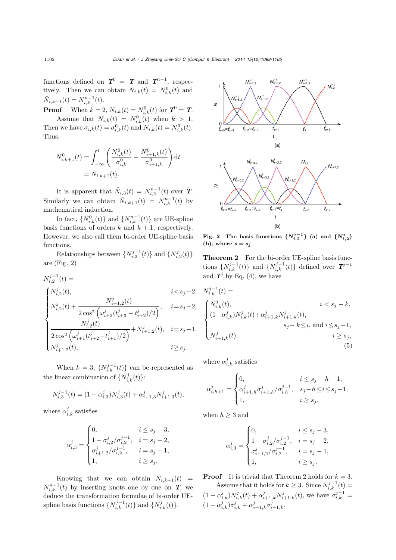functions defined on  $T^0 = T$  and  $T^{n-1}$ , respectively. Then we can obtain  $N_{i,k}(t) = N_{i,k}^0(t)$  and  $\hat{N}_{i,k+1}(t) = N_{i,k}^{n-1}(t).$ 

**Proof** When  $k = 2$ ,  $N_{i,k}(t) = N_{i,k}^0(t)$  for  $T^0 = T$ .

Assume that  $N_{i,k}(t) = N_{i,k}^0(t)$  when  $k > 1$ . Then we have  $\sigma_{i,k}(t) = \sigma_{i,k}^0(t)$  and  $N_{i,k}(t) = N_{i,k}^0(t)$ . Thus,

$$
N_{i,k+1}^0(t) = \int_{-\infty}^t \left( \frac{N_{i,k}^0(t)}{\sigma_{i,k}^0} - \frac{N_{i+1,k}^0(t)}{\sigma_{i+1,k}^0} \right) dt
$$
  
=  $N_{i,k+1}(t)$ .

It is apparent that  $\hat{N}_{i,3}(t) = N_{i,2}^{n-1}(t)$  over  $\hat{T}$ . Similarly we can obtain  $\hat{N}_{i,k+1}(t) = N_{i,k}^{n-1}(t)$  by mathematical induction.

In fact,  $\{N_{i,k}^0(t)\}\$  and  $\{N_{i,k}^{n-1}(t)\}\$  are UE-spline basis functions of orders  $k$  and  $k + 1$ , respectively. However, we also call them bi-order UE-spline basis functions.

Relationships between  $\{N_{i,2}^{j-1}(t)\}\$  and  $\{N_{i,2}^{j}(t)\}\$ are (Fig. 2)

$$
\begin{split} N_{i,2}^{j-1}(t) &=&\\ \begin{cases} N_{i,2}^j(t), & i < s_j-2,\\ N_{i,2}^j(t) + \frac{N_{i+1,2}^j(t)}{2\cos^2\left(\omega_{i+2}^j(t_{i+3}^j-t_{i+2}^j)/2\right)}, & i=s_j-2,\\ \frac{N_{i,2}^j(t)}{2\cos^2\left(\omega_{i+1}^j(t_{i+2}^j-t_{i+1}^j)/2\right)} + N_{i+1,2}^j(t), & i=s_j-1,\\ N_{i+1,2}^j(t), & i \geq s_j. \end{cases} \end{split}
$$

When  $k = 3$ ,  $\{N_{i,k}^{j-1}(t)\}\)$  can be represented as the linear combination of  $\{N_{i,k}^j(t)\}$ :

$$
N_{i,3}^{j-1}(t) = (1 - \alpha_{i,3}^j)N_{i,3}^j(t) + \alpha_{i+1,3}^j N_{i+1,3}^j(t),
$$

where  $\alpha_{i,k}^j$  satisfies

$$
\alpha_{i,3}^j = \begin{cases} 0, & i \leq s_j - 3, \\ 1 - \sigma_{i,2}^j/\sigma_{i,2}^{j-1}, & i = s_j - 2, \\ \sigma_{i+1,2}^j/\sigma_{i,2}^{j-1}, & i = s_j - 1, \\ 1, & i \geq s_j. \end{cases}
$$

Knowing that we can obtain  $\hat{N}_{i,k+1}(t)$  =  $N_{i,k}^{n-1}(t)$  by inserting knots one by one on **T**, we deduce the transformation formulae of bi-order UEspline basis functions  $\{N_{i,k}^{j-1}(t)\}\$  and  $\{N_{i,k}^{j}(t)\}.$ 



Fig. 2 The basis functions  $\{N_{i,2}^{j-1}\}$  (a) and  $\{N_{i,2}^{j}\}$ (b), where  $s = s_j$ 

Theorem 2 For the bi-order UE-spline basis functions  $\{N_{i,k}^{j-1}(t)\}\$  and  $\{N_{i,k}^{j-1}(t)\}\$  defined over  $T^{j-1}$ and  $T^j$  by Eq. (4), we have

$$
N_{i,k}^{j-1}(t) = i < s_j - k,
$$
  
\n
$$
\begin{cases}\nN_{i,k}^j(t), & i < s_j - k, \\
(1 - \alpha_{i,k}^j) N_{i,k}^j(t) + \alpha_{i+1,k}^j N_{i+1,k}^j(t), & s_j - k \le i, \text{ and } i \le s_j - 1, \\
N_{i+1,k}^j(t), & i \ge s_j,\n\end{cases}
$$
\n(5)

where  $\alpha_{i,k}^j$  satisfies

$$
\alpha_{i,h+1}^j = \begin{cases} 0, & i \le s_j - h - 1, \\ \alpha_{i+1,h}^j \sigma_{i+1,h}^j / \sigma_{i,h}^{j-1}, & s_j - h \le i \le s_j - 1, \\ 1, & i \ge s_j, \end{cases}
$$

when  $h \geq 3$  and

$$
\alpha_{i,3}^j = \begin{cases} 0, & i \leq s_j - 3, \\ 1 - \sigma_{i,2}^j/\sigma_{i,2}^{j-1}, & i = s_j - 2, \\ \sigma_{i+1,2}^j/\sigma_{i,2}^{j-1}, & i = s_j - 1, \\ 1, & i \geq s_j. \end{cases}
$$

**Proof** It is trivial that Theorem 2 holds for  $k = 3$ .

Assume that it holds for  $k \geq 3$ . Since  $N_{i,k}^{j-1}(t) =$  $(1 - \alpha_{i,k}^j) N_{i,k}^j(t) + \alpha_{i+1,k}^j N_{i+1,k}^j(t)$ , we have  $\sigma_{i,k}^{j-1}$  $(1 - \alpha_{i,k}^j)\sigma_{i,k}^j + \alpha_{i+1,k}^j\sigma_{i+1,k}^j$ .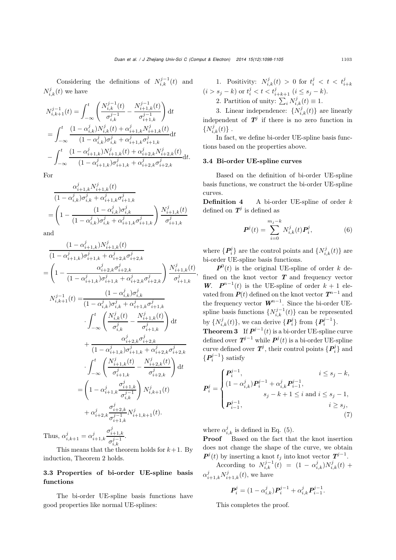Considering the definitions of  $N_{i,k}^{j-1}(t)$  and  $N_{i,k}^j(t)$  we have

$$
N_{i,k+1}^{j-1}(t) = \int_{-\infty}^{t} \left( \frac{N_{i,k}^{j-1}(t)}{\sigma_{i,k}^{j-1}} - \frac{N_{i+1,k}^{j-1}(t)}{\sigma_{i+1,k}^{j-1}} \right) dt
$$
  
\n
$$
= \int_{-\infty}^{t} \frac{(1 - \alpha_{i,k}^{j})N_{i,k}^{j}(t) + \alpha_{i+1,k}^{j} N_{i+1,k}^{j}(t)}{(1 - \alpha_{i,k}^{j})\sigma_{i,k}^{j} + \alpha_{i+1,k}^{j} \sigma_{i+1,k}^{j}} dt
$$
  
\n
$$
- \int_{-\infty}^{t} \frac{(1 - \alpha_{i+1,k}^{j})N_{i+1,k}^{j}(t) + \alpha_{i+2,k}^{j} N_{i+2,k}^{j}(t)}{(1 - \alpha_{i+1,k}^{j})\sigma_{i+1,k}^{j} + \alpha_{i+2,k}^{j} \sigma_{i+2,k}^{j}} dt.
$$

For

$$
\frac{\alpha_{i+1,k}^j N_{i+1,k}^j(t)}{(1 - \alpha_{i,k}^j)\sigma_{i,k}^j + \alpha_{i+1,k}^j\sigma_{i+1,k}^j}
$$
\n
$$
= \left(1 - \frac{(1 - \alpha_{i,k}^j)\sigma_{i,k}^j}{(1 - \alpha_{i,k}^j)\sigma_{i,k}^j + \alpha_{i+1,k}^j\sigma_{i+1,k}^j}\right) \frac{N_{i+1,k}^j(t)}{\sigma_{i+1,k}^j}
$$

and

$$
\frac{(1 - \alpha_{i+1,k}^j)N_{i+1,k}^j(t)}{(1 - \alpha_{i+1,k}^j)\sigma_{i+1,k}^j + \alpha_{i+2,k}^j\sigma_{i+2,k}^j}
$$
\n
$$
= \left(1 - \frac{\alpha_{i+2,k}^j\sigma_{i+2,k}^j}{(1 - \alpha_{i+1,k}^j)\sigma_{i+1,k}^j + \alpha_{i+2,k}^j\sigma_{i+2,k}^j}\right) \frac{N_{i+1,k}^j(t)}{\sigma_{i+1,k}^j},
$$

$$
N_{i,k+1}^{j-1}(t) = \frac{(1 - \alpha_{i,k}^j)\sigma_{i,k}^j}{(1 - \alpha_{i,k}^j)\sigma_{i,k}^j + \alpha_{i+1,k}^j\sigma_{i+1,k}^j}
$$

$$
\cdot \int_{-\infty}^t \left(\frac{N_{i,k}^j(t)}{\sigma_{i,k}^j} - \frac{N_{i+1,k}^j(t)}{\sigma_{i+1,k}^j}\right) dt
$$

$$
+ \frac{\alpha_{i+2,k}^j\sigma_{i+2,k}^j}{(1 - \alpha_{i+1,k}^j)\sigma_{i+1,k}^j + \alpha_{i+2,k}^j\sigma_{i+2,k}^j}
$$

$$
\cdot \int_{-\infty}^t \left(\frac{N_{i+1,k}^j(t)}{\sigma_{i+1,k}^j} - \frac{N_{i+2,k}^j(t)}{\sigma_{i+2,k}^j}\right) dt
$$

$$
= \left(1 - \alpha_{i+1,k}^j\frac{\sigma_{i+1,k}^j}{\sigma_{i,k}^j}\right) N_{i,k+1}^j(t)
$$

$$
+ \alpha_{i+2,k}^j\frac{\sigma_{i+2,k}^j}{\sigma_{i+1,k}^j}N_{i+1,k+1}^j(t).
$$
Thus  $\alpha^j = \alpha^j \qquad \frac{\sigma_{i+1,k}^j}{\sigma_{i+1,k}^j}$ 

Thus,  $\alpha_{i,k+1}^j = \alpha_{i+1,k}^j$  $\sigma^{j-1}_{i,k}$ .

This means that the theorem holds for  $k+1$ . By induction, Theorem 2 holds.

## 3.3 Properties of bi-order UE-spline basis functions

The bi-order UE-spline basis functions have good properties like normal UE-splines:

1. Positivity: 
$$
N_{i,k}^j(t) > 0
$$
 for  $t_i^j < t < t_{i+k}^j$  $(i > s_j - k)$  or  $t_i^j < t < t_{i+k+1}^j$   $(i \leq s_j - k)$ . 2. Partition of unity:  $\sum_i N_{i,k}^j(t) \equiv 1$ .

3. Linear independence:  $\{N_{i,k}^{j}(t)\}\)$  are linearly independent of  $T^j$  if there is no zero function in  $\{N_{i,k}^{j}(t)\}$ .

In fact, we define bi-order UE-spline basis functions based on the properties above.

#### 3.4 Bi-order UE-spline curves

Based on the definition of bi-order UE-spline basis functions, we construct the bi-order UE-spline curves.

**Definition 4** A bi-order UE-spline of order  $k$ defined on  $T^j$  is defined as

$$
\boldsymbol{P}^{j}(t) = \sum_{i=0}^{m_{j}-k} N_{i,k}^{j}(t) \boldsymbol{P}_{i}^{j},
$$
 (6)

where  $\{P_i^j\}$  are the control points and  $\{N_{i,k}^j(t)\}$  are bi-order UE-spline basis functions.

 $P^{0}(t)$  is the original UE-spline of order k defined on the knot vector  $T$  and frequency vector *W*.  $P^{n-1}(t)$  is the UE-spline of order  $k + 1$  elevated from  $P(t)$  defined on the knot vector  $T^{n-1}$  and the frequency vector *W<sup>n</sup>*−<sup>1</sup> . Since the bi-order UEspline basis functions  $\{N_{i,k}^{j-1}(t)\}$  can be represented by  $\{N_{i,k}^j(t)\}\$ , we can derive  $\{P_i^j\}$  from  $\{P_i^{j-1}\}\$ .

**Theorem 3** If  $P^{j-1}(t)$  is a bi-order UE-spline curve defined over  $T^{j-1}$  while  $P^j(t)$  is a bi-order UE-spline curve defined over  $T^j$ , their control points  $\{P_i^j\}$  and  $\{P_i^{j-1}\}$  satisfy

$$
\boldsymbol{P}_{i}^{j} = \begin{cases} \boldsymbol{P}_{i}^{j-1}, & i \leq s_{j} - k, \\ (1 - \alpha_{i,k}^{j}) \boldsymbol{P}_{i}^{j-1} + \alpha_{i,k}^{j} \boldsymbol{P}_{i-1}^{j-1}, & \\ s_{j} - k + 1 \leq i \text{ and } i \leq s_{j} - 1, \\ \boldsymbol{P}_{i-1}^{j-1}, & i \geq s_{j}, \end{cases}
$$
(7)

where  $\alpha_{i,k}^j$  is defined in Eq. (5).

Proof Based on the fact that the knot insertion does not change the shape of the curve, we obtain  $P^j(t)$  by inserting a knot  $t_j$  into knot vector  $T^{j-1}$ .

According to  $N_{i,k}^{j-1}(t) = (1 - \alpha_{i,k}^j)N_{i,k}^j(t)$  +  $\alpha_{i+1,k}^j N_{i+1,k}^j(t)$ , we have

$$
\boldsymbol{P}_{i}^{j} = (1 - \alpha_{i,k}^{j})\boldsymbol{P}_{i}^{j-1} + \alpha_{i,k}^{j}\boldsymbol{P}_{i-1}^{j-1}.
$$

This completes the proof.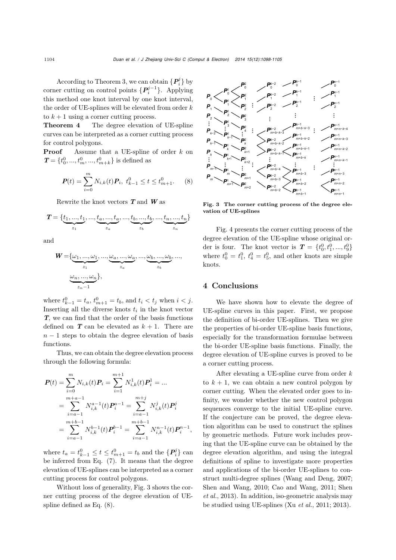According to Theorem 3, we can obtain  $\{P_i^j\}$  by corner cutting on control points {*Pj*−<sup>1</sup> *<sup>i</sup>* }. Applying this method one knot interval by one knot interval, the order of UE-splines will be elevated from order  $k$ to  $k+1$  using a corner cutting process.

Theorem 4 The degree elevation of UE-spline curves can be interpreted as a corner cutting process for control polygons.

**Proof** Assume that a UE-spline of order k on  $\textit{\textbf{T}}=\{t_{0}^{0},...,t_{m}^{0},...,t_{m+k}^{0}\}$  is defined as

$$
\boldsymbol{P}(t) = \sum_{i=0}^{m} N_{i,k}(t) \boldsymbol{P}_i, \ t_{k-1}^0 \le t \le t_{m+1}^0. \tag{8}
$$

Rewrite the knot vectors *T* and *W* as

$$
T = \{ \underbrace{t_1,...,t_1}_{z_1},...,\underbrace{t_a,...,t_a}_{z_a},...,\underbrace{t_b,...,t_b}_{z_b},...,\underbrace{t_n,...,t_n}_{z_n} \}
$$

and

$$
W = {\underbrace{\omega_1, ..., \omega_1}_{z_1}, ..., \underbrace{\omega_a, ..., \omega_a}_{z_a}, ..., \underbrace{\omega_b, ..., \omega_b}_{z_b}, ...,}
$$

$$
{\underbrace{\omega_n, ..., \omega_n}_{z_n-1}};
$$

where  $t_{k-1}^0 = t_a$ ,  $t_{m+1}^0 = t_b$ , and  $t_i < t_j$  when  $i < j$ . Inserting all the diverse knots  $t_i$  in the knot vector *T*, we can find that the order of the basis functions defined on  $\boldsymbol{T}$  can be elevated as  $k + 1$ . There are  $n - 1$  steps to obtain the degree elevation of basis functions.

Thus, we can obtain the degree elevation process through the following formula:

$$
\begin{split} \boldsymbol{P}(t) &= \sum_{i=0}^{m} N_{i,k}(t) \boldsymbol{P}_i = \sum_{i=1}^{m+1} N_{i,k}^1(t) \boldsymbol{P}_i^1 = \dots \\ &= \sum_{i=a-1}^{m+a-1} N_{i,k}^{a-1}(t) \boldsymbol{P}_i^{a-1} = \sum_{i=a-1}^{m+j} N_{i,k}^j(t) \boldsymbol{P}_i^j \\ &= \sum_{i=a-1}^{m+b-1} N_{i,k}^{b-1}(t) \boldsymbol{P}_i^{b-1} = \sum_{i=a-1}^{m+b-1} N_{i,k}^{n-1}(t) \boldsymbol{P}_i^{n-1}, \end{split}
$$

where  $t_a = t_{k-1}^0 \le t \le t_{m+1}^0 = t_b$  and the  $\{P_i^j\}$  can be inferred from Eq. (7). It means that the degree elevation of UE-splines can be interpreted as a corner cutting process for control polygons.

Without loss of generality, Fig. 3 shows the corner cutting process of the degree elevation of UEspline defined as Eq. (8).



Fig. 3 The corner cutting process of the degree elevation of UE-splines

Fig. 4 presents the corner cutting process of the degree elevation of the UE-spline whose original order is four. The knot vector is  $T = \{t_0^0, t_1^0, ..., t_9^0\}$ where  $t_0^0 = t_1^0$ ,  $t_4^0 = t_5^0$ , and other knots are simple knots.

## 4 Conclusions

We have shown how to elevate the degree of UE-spline curves in this paper. First, we propose the definition of bi-order UE-splines. Then we give the properties of bi-order UE-spline basis functions, especially for the transformation formulae between the bi-order UE-spline basis functions. Finally, the degree elevation of UE-spline curves is proved to be a corner cutting process.

After elevating a UE-spline curve from order  $k$ to  $k + 1$ , we can obtain a new control polygon by corner cutting. When the elevated order goes to infinity, we wonder whether the new control polygon sequences converge to the initial UE-spline curve. If the conjecture can be proved, the degree elevation algorithm can be used to construct the splines by geometric methods. Future work includes proving that the UE-spline curve can be obtained by the degree elevation algorithm, and using the integral definitions of spline to investigate more properties and applications of the bi-order UE-splines to construct multi-degree splines [\(Wang and Deng, 2007;](#page-7-5) [Shen and Wang](#page-7-8)[,](#page-7-10) [2010](#page-7-8)[;](#page-7-10) [Cao and Wang](#page-7-9)[,](#page-7-10) [2011](#page-7-9)[;](#page-7-10) Shen *et al.*, [2013\)](#page-7-10). In addition, iso-geometric analysis may be studied using UE-splines (Xu *et al.*, 2011; 2013).